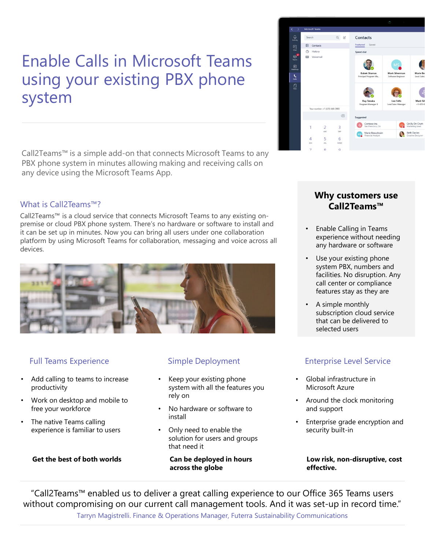# Enable Calls in Microsoft Teams using your existing PBX phone system

Call2Teams™ is a simple add-on that connects Microsoft Teams to any PBX phone system in minutes allowing making and receiving calls on any device using the Microsoft Teams App.

### What is Call2Teams™?

Call2Teams™ is a cloud service that connects Microsoft Teams to any existing onpremise or cloud PBX phone system. There's no hardware or software to install and it can be set up in minutes. Now you can bring all users under one collaboration platform by using Microsoft Teams for collaboration, messaging and voice across all devices.



- Add calling to teams to increase productivity
- Work on desktop and mobile to free your workforce
- The native Teams calling experience is familiar to users

**Get the best of both worlds**

- Keep your existing phone system with all the features you rely on
- No hardware or software to install
- Only need to enable the solution for users and groups that need it

**Can be deployed in hours across the globe** 



### **Why customers use Call2Teams™**

- Enable Calling in Teams experience without needing any hardware or software
- Use your existing phone system PBX, numbers and facilities. No disruption. Any call center or compliance features stay as they are
- A simple monthly subscription cloud service that can be delivered to selected users

### Full Teams Experience The Simple Deployment Enterprise Level Service

- Global infrastructure in Microsoft Azure
- Around the clock monitoring and support
- Enterprise grade encryption and security built-in

**Low risk, non-disruptive, cost effective.**

"Call2Teams™ enabled us to deliver a great calling experience to our Office 365 Teams users without compromising on our current call management tools. And it was set-up in record time." Tarryn Magistrelli. Finance & Operations Manager, Futerra Sustainability Communications